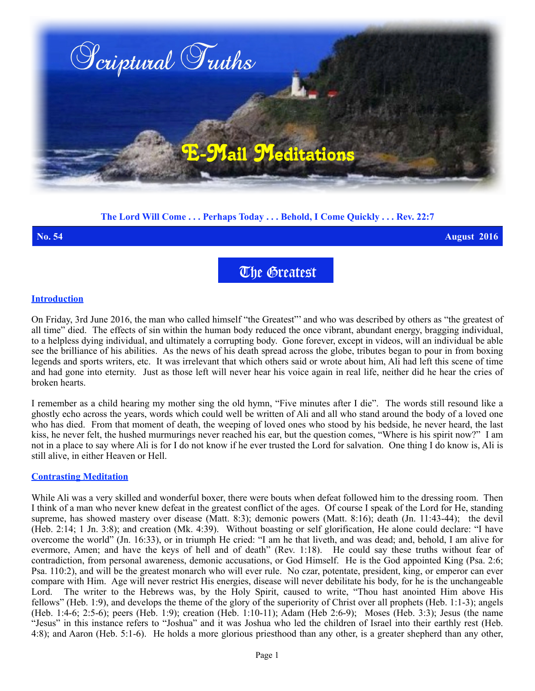

# **The Lord Will Come . . . Perhaps Today . . . Behold, I Come Quickly . . . Rev. 22:7**

**No. 54 August 2016**

The Greatest

## **Introduction**

On Friday, 3rd June 2016, the man who called himself "the Greatest"' and who was described by others as "the greatest of all time" died. The effects of sin within the human body reduced the once vibrant, abundant energy, bragging individual, to a helpless dying individual, and ultimately a corrupting body. Gone forever, except in videos, will an individual be able see the brilliance of his abilities. As the news of his death spread across the globe, tributes began to pour in from boxing legends and sports writers, etc. It was irrelevant that which others said or wrote about him, Ali had left this scene of time and had gone into eternity. Just as those left will never hear his voice again in real life, neither did he hear the cries of broken hearts.

I remember as a child hearing my mother sing the old hymn, "Five minutes after I die". The words still resound like a ghostly echo across the years, words which could well be written of Ali and all who stand around the body of a loved one who has died. From that moment of death, the weeping of loved ones who stood by his bedside, he never heard, the last kiss, he never felt, the hushed murmurings never reached his ear, but the question comes, "Where is his spirit now?" I am not in a place to say where Ali is for I do not know if he ever trusted the Lord for salvation. One thing I do know is, Ali is still alive, in either Heaven or Hell.

#### **Contrasting Meditation**

While Ali was a very skilled and wonderful boxer, there were bouts when defeat followed him to the dressing room. Then I think of a man who never knew defeat in the greatest conflict of the ages. Of course I speak of the Lord for He, standing supreme, has showed mastery over disease (Matt. 8:3); demonic powers (Matt. 8:16); death (Jn. 11:43-44); the devil (Heb. 2:14; 1 Jn. 3:8); and creation (Mk. 4:39). Without boasting or self glorification, He alone could declare: "I have overcome the world" (Jn. 16:33), or in triumph He cried: "I am he that liveth, and was dead; and, behold, I am alive for evermore, Amen; and have the keys of hell and of death" (Rev. 1:18). He could say these truths without fear of contradiction, from personal awareness, demonic accusations, or God Himself. He is the God appointed King (Psa. 2:6; Psa. 110:2), and will be the greatest monarch who will ever rule. No czar, potentate, president, king, or emperor can ever compare with Him. Age will never restrict His energies, disease will never debilitate his body, for he is the unchangeable Lord. The writer to the Hebrews was, by the Holy Spirit, caused to write, "Thou hast anointed Him above His fellows" (Heb. 1:9), and develops the theme of the glory of the superiority of Christ over all prophets (Heb. 1:1-3); angels (Heb. 1:4-6; 2:5-6); peers (Heb. 1:9); creation (Heb. 1:10-11); Adam (Heb 2:6-9); Moses (Heb. 3:3); Jesus (the name "Jesus" in this instance refers to "Joshua" and it was Joshua who led the children of Israel into their earthly rest (Heb. 4:8); and Aaron (Heb. 5:1-6). He holds a more glorious priesthood than any other, is a greater shepherd than any other,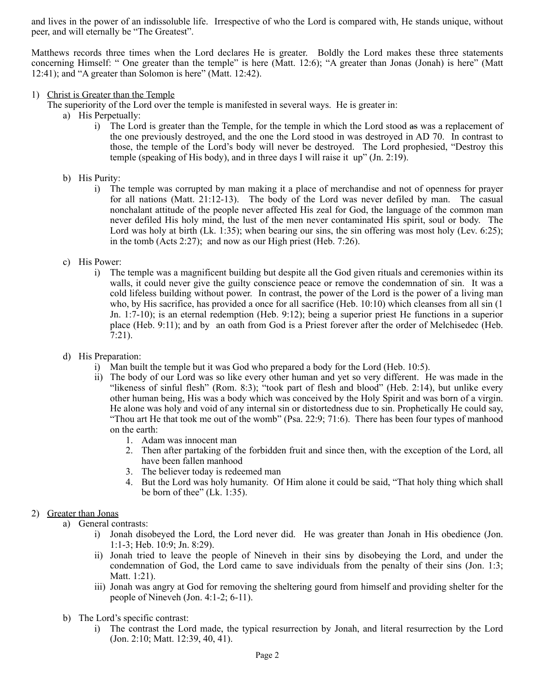and lives in the power of an indissoluble life. Irrespective of who the Lord is compared with, He stands unique, without peer, and will eternally be "The Greatest".

Matthews records three times when the Lord declares He is greater. Boldly the Lord makes these three statements concerning Himself: " One greater than the temple" is here (Matt. 12:6); "A greater than Jonas (Jonah) is here" (Matt 12:41); and "A greater than Solomon is here" (Matt. 12:42).

### 1) Christ is Greater than the Temple

The superiority of the Lord over the temple is manifested in several ways. He is greater in:

- a) His Perpetually:
	- i) The Lord is greater than the Temple, for the temple in which the Lord stood as was a replacement of the one previously destroyed, and the one the Lord stood in was destroyed in AD 70. In contrast to those, the temple of the Lord's body will never be destroyed. The Lord prophesied, "Destroy this temple (speaking of His body), and in three days I will raise it up" (Jn. 2:19).
- b) His Purity:
	- i) The temple was corrupted by man making it a place of merchandise and not of openness for prayer for all nations (Matt. 21:12-13). The body of the Lord was never defiled by man. The casual nonchalant attitude of the people never affected His zeal for God, the language of the common man never defiled His holy mind, the lust of the men never contaminated His spirit, soul or body. The Lord was holy at birth (Lk. 1:35); when bearing our sins, the sin offering was most holy (Lev. 6:25); in the tomb (Acts 2:27); and now as our High priest (Heb. 7:26).
- c) His Power:
	- i) The temple was a magnificent building but despite all the God given rituals and ceremonies within its walls, it could never give the guilty conscience peace or remove the condemnation of sin. It was a cold lifeless building without power. In contrast, the power of the Lord is the power of a living man who, by His sacrifice, has provided a once for all sacrifice (Heb. 10:10) which cleanses from all sin (1 Jn. 1:7-10); is an eternal redemption (Heb. 9:12); being a superior priest He functions in a superior place (Heb. 9:11); and by an oath from God is a Priest forever after the order of Melchisedec (Heb. 7:21).
- d) His Preparation:
	- i) Man built the temple but it was God who prepared a body for the Lord (Heb. 10:5).
	- ii) The body of our Lord was so like every other human and yet so very different. He was made in the "likeness of sinful flesh" (Rom. 8:3); "took part of flesh and blood" (Heb. 2:14), but unlike every other human being, His was a body which was conceived by the Holy Spirit and was born of a virgin. He alone was holy and void of any internal sin or distortedness due to sin. Prophetically He could say, "Thou art He that took me out of the womb" (Psa. 22:9; 71:6). There has been four types of manhood on the earth:
		- 1. Adam was innocent man
		- 2. Then after partaking of the forbidden fruit and since then, with the exception of the Lord, all have been fallen manhood
		- 3. The believer today is redeemed man
		- 4. But the Lord was holy humanity. Of Him alone it could be said, "That holy thing which shall be born of thee" (Lk. 1:35).

## 2) Greater than Jonas

a) General contrasts:

- i) Jonah disobeyed the Lord, the Lord never did. He was greater than Jonah in His obedience (Jon. 1:1-3; Heb. 10:9; Jn. 8:29).
- ii) Jonah tried to leave the people of Nineveh in their sins by disobeying the Lord, and under the condemnation of God, the Lord came to save individuals from the penalty of their sins (Jon. 1:3; Matt. 1:21).
- iii) Jonah was angry at God for removing the sheltering gourd from himself and providing shelter for the people of Nineveh (Jon. 4:1-2; 6-11).
- b) The Lord's specific contrast:
	- i) The contrast the Lord made, the typical resurrection by Jonah, and literal resurrection by the Lord (Jon. 2:10; Matt. 12:39, 40, 41).